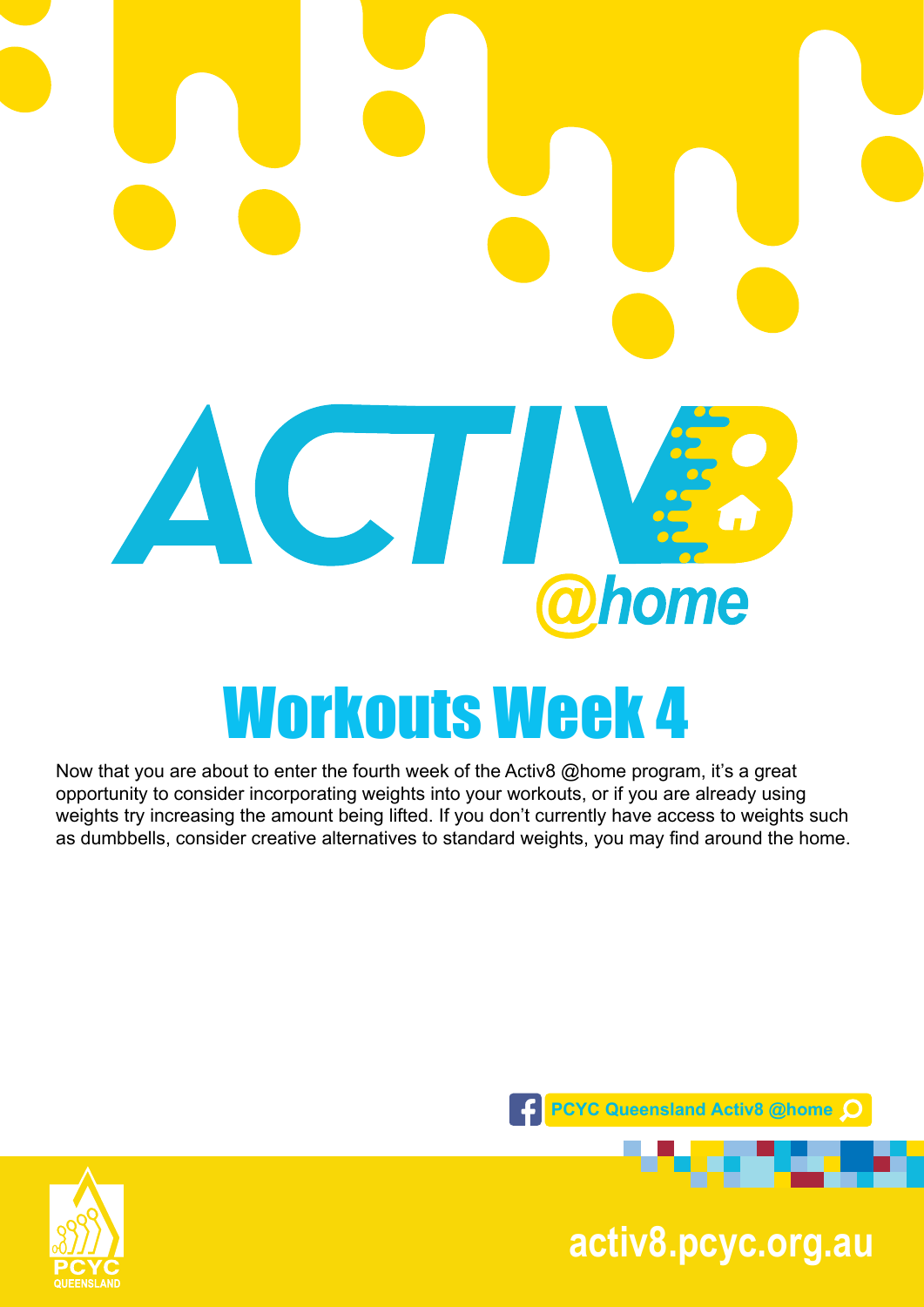

Now that you are about to enter the fourth week of the Activ8 @home program, it's a great opportunity to consider incorporating weights into your workouts, or if you are already using weights try increasing the amount being lifted. If you don't currently have access to weights such as dumbbells, consider creative alternatives to standard weights, you may find around the home.



**pcyc.org.au activ8.pcyc.org.au**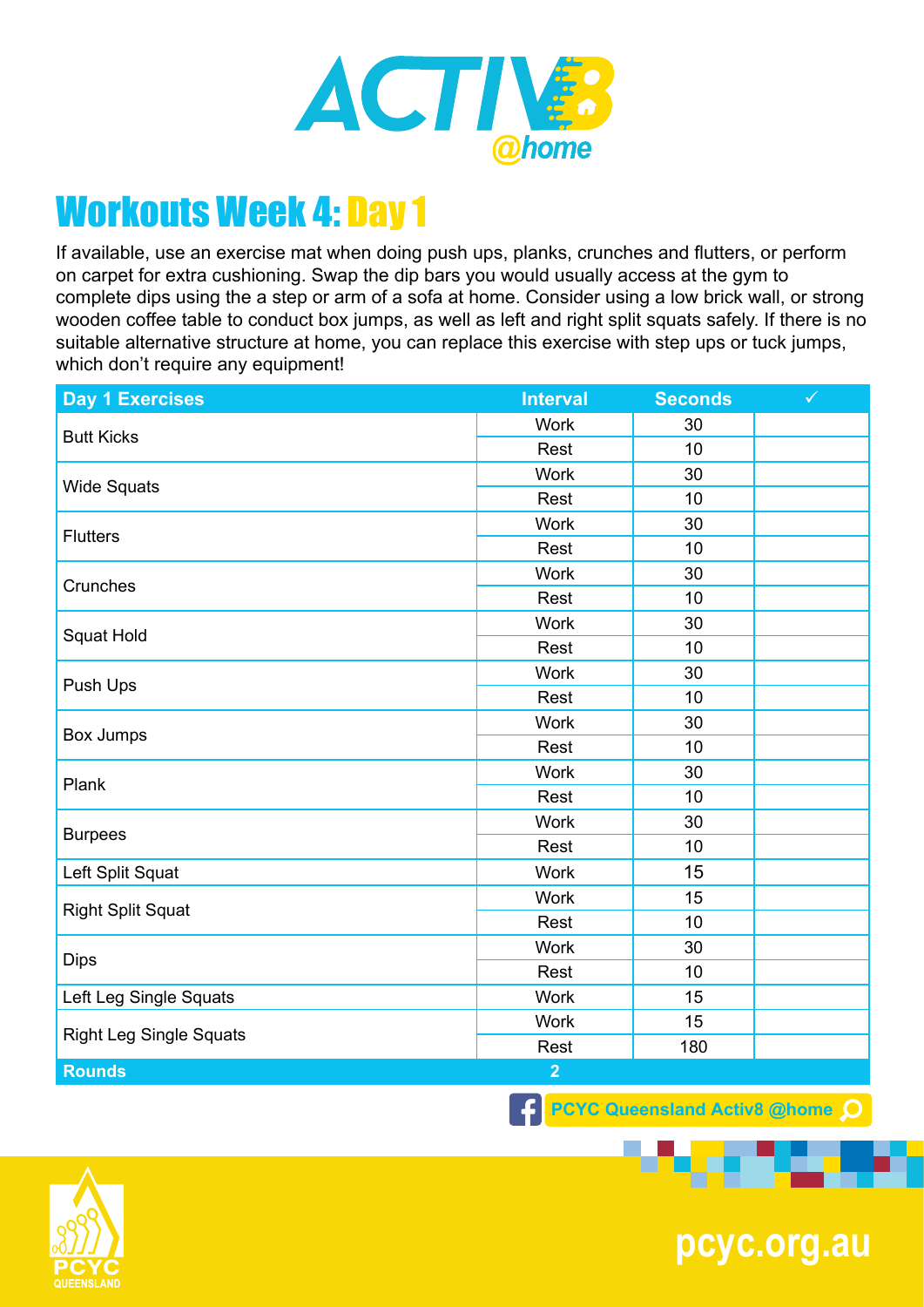

If available, use an exercise mat when doing push ups, planks, crunches and flutters, or perform on carpet for extra cushioning. Swap the dip bars you would usually access at the gym to complete dips using the a step or arm of a sofa at home. Consider using a low brick wall, or strong wooden coffee table to conduct box jumps, as well as left and right split squats safely. If there is no suitable alternative structure at home, you can replace this exercise with step ups or tuck jumps, which don't require any equipment!

| Day 1 Exercises                | <b>Interval</b> | <b>Seconds</b> | $\checkmark$ |
|--------------------------------|-----------------|----------------|--------------|
| <b>Butt Kicks</b>              | <b>Work</b>     | 30             |              |
|                                | Rest            | 10             |              |
| <b>Wide Squats</b>             | <b>Work</b>     | 30             |              |
|                                | Rest            | 10             |              |
| <b>Flutters</b>                | <b>Work</b>     | 30             |              |
|                                | Rest            | 10             |              |
| Crunches                       | <b>Work</b>     | 30             |              |
|                                | Rest            | 10             |              |
| Squat Hold                     | <b>Work</b>     | 30             |              |
|                                | Rest            | 10             |              |
|                                | <b>Work</b>     | 30             |              |
| Push Ups                       | Rest            | 10             |              |
|                                | <b>Work</b>     | 30             |              |
| Box Jumps                      | Rest            | 10             |              |
| Plank                          | <b>Work</b>     | 30             |              |
|                                | Rest            | 10             |              |
| <b>Burpees</b>                 | Work            | 30             |              |
|                                | Rest            | 10             |              |
| Left Split Squat               | Work            | 15             |              |
| <b>Right Split Squat</b>       | <b>Work</b>     | 15             |              |
|                                | Rest            | 10             |              |
| <b>Dips</b>                    | <b>Work</b>     | 30             |              |
|                                | Rest            | 10             |              |
| Left Leg Single Squats         | <b>Work</b>     | 15             |              |
| <b>Right Leg Single Squats</b> | <b>Work</b>     | 15             |              |
|                                | Rest            | 180            |              |
| <b>Rounds</b>                  | $\overline{2}$  |                |              |
|                                |                 |                |              |

**F** PCYC Queensland Activ8 @home Q



**pcyc.org.au**

---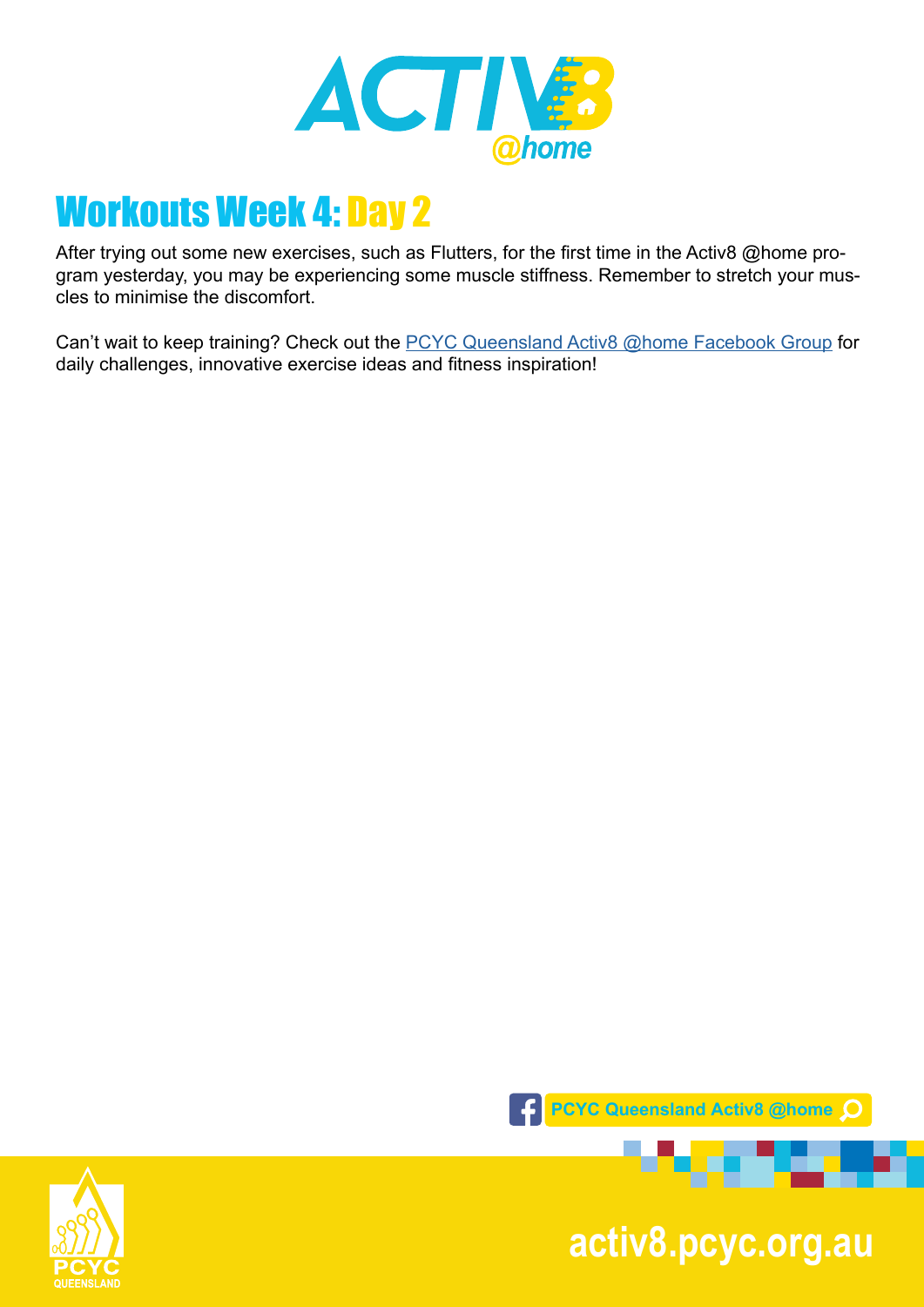

After trying out some new exercises, such as Flutters, for the first time in the Activ8 @home program yesterday, you may be experiencing some muscle stiffness. Remember to stretch your muscles to minimise the discomfort.

Can't wait to keep training? Check out the **PCYC Queensland Activ8 @home Facebook Group** for daily challenges, innovative exercise ideas and fitness inspiration!



**pcyc.org.au activ8.pcyc.org.au**

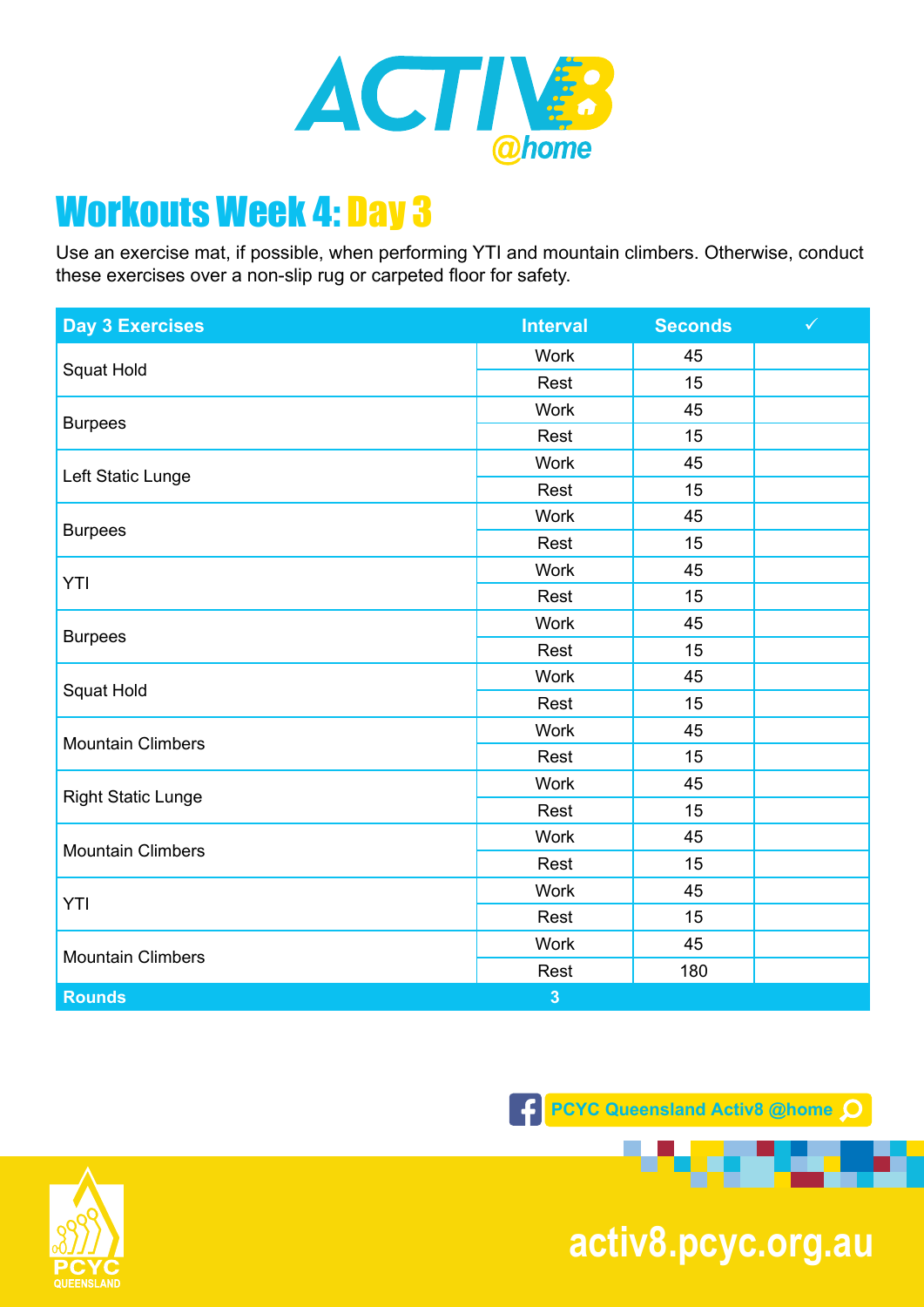

Use an exercise mat, if possible, when performing YTI and mountain climbers. Otherwise, conduct these exercises over a non-slip rug or carpeted floor for safety.

| <b>Day 3 Exercises</b>    | <b>Interval</b> | <b>Seconds</b> | $\checkmark$ |
|---------------------------|-----------------|----------------|--------------|
| Squat Hold                | <b>Work</b>     | 45             |              |
|                           | Rest            | 15             |              |
| <b>Burpees</b>            | <b>Work</b>     | 45             |              |
|                           | Rest            | 15             |              |
| Left Static Lunge         | <b>Work</b>     | 45             |              |
|                           | Rest            | 15             |              |
| <b>Burpees</b>            | <b>Work</b>     | 45             |              |
|                           | Rest            | 15             |              |
| YTI                       | Work            | 45             |              |
|                           | Rest            | 15             |              |
|                           | <b>Work</b>     | 45             |              |
| <b>Burpees</b>            | Rest            | 15             |              |
| Squat Hold                | <b>Work</b>     | 45             |              |
|                           | Rest            | 15             |              |
| <b>Mountain Climbers</b>  | Work            | 45             |              |
|                           | Rest            | 15             |              |
| <b>Right Static Lunge</b> | <b>Work</b>     | 45             |              |
|                           | Rest            | 15             |              |
| <b>Mountain Climbers</b>  | <b>Work</b>     | 45             |              |
|                           | Rest            | 15             |              |
| YTI                       | Work            | 45             |              |
|                           | Rest            | 15             |              |
| <b>Mountain Climbers</b>  | <b>Work</b>     | 45             |              |
|                           | Rest            | 180            |              |
| <b>Rounds</b>             | $\overline{3}$  |                |              |

**F** PCYC Queensland Activ8 @home Q



**pcyc.org.au activ8.pcyc.org.au**

. .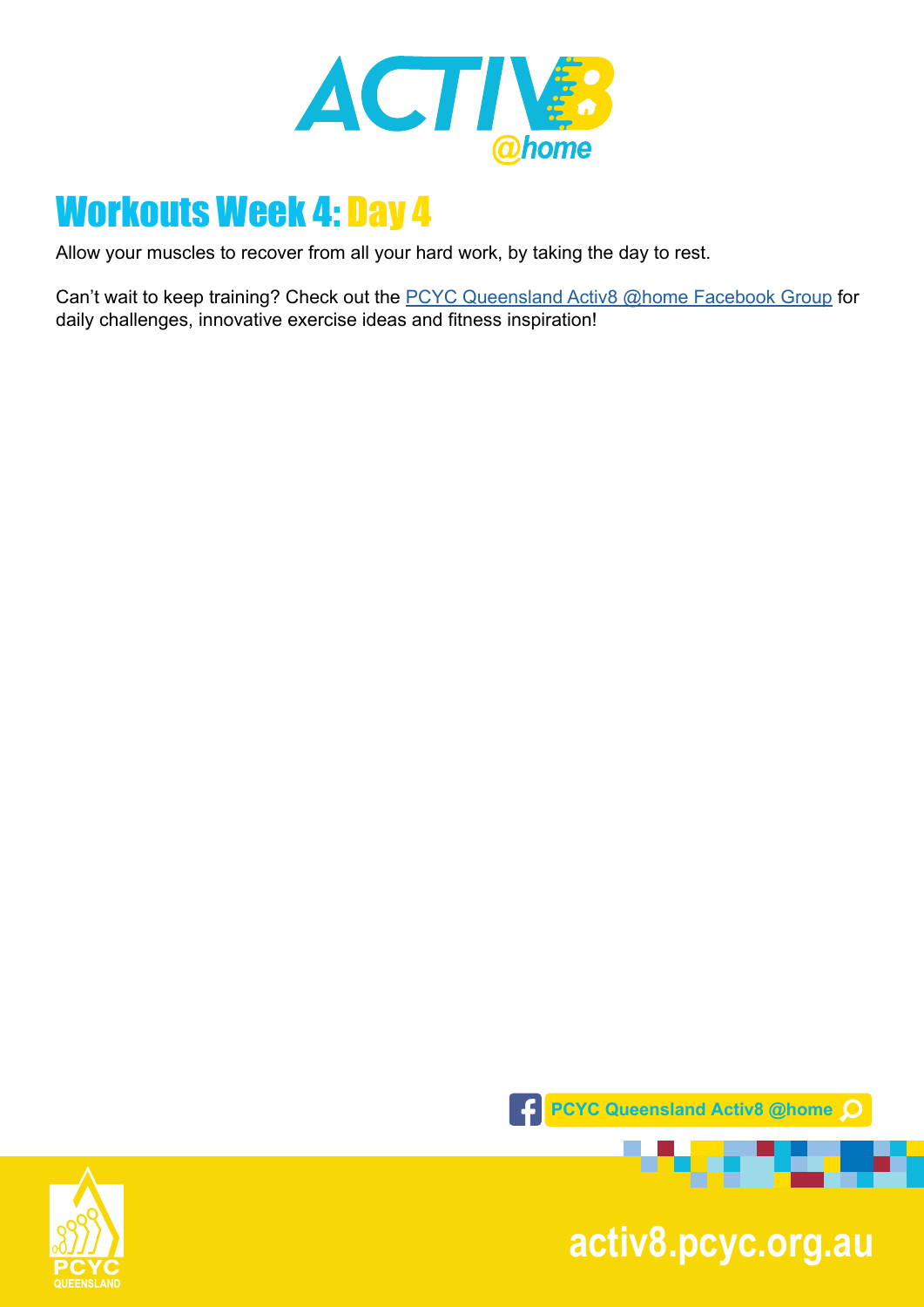

Allow your muscles to recover from all your hard work, by taking the day to rest.

Can't wait to keep training? Check out the **PCYC Queensland Activ8 @home Facebook Group** for daily challenges, innovative exercise ideas and fitness inspiration!



**pcyc.org.au activ8.pcyc.org.au**

. . . . . .

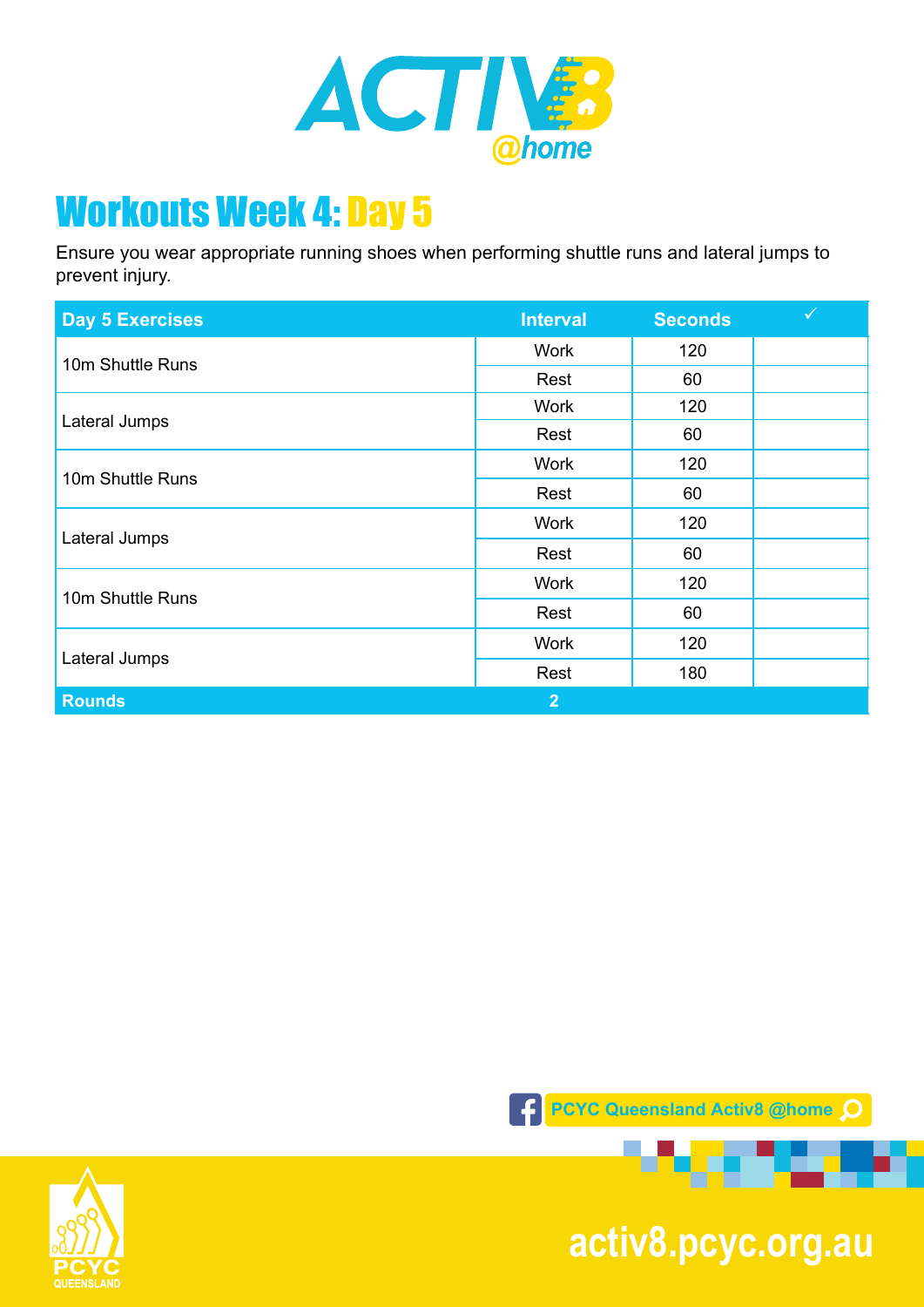

Ensure you wear appropriate running shoes when performing shuttle runs and lateral jumps to prevent injury.

| <b>Day 5 Exercises</b> | <b>Interval</b> | <b>Seconds</b> | $\checkmark$ |
|------------------------|-----------------|----------------|--------------|
| 10m Shuttle Runs       | Work            | 120            |              |
|                        | Rest            | 60             |              |
| Lateral Jumps          | <b>Work</b>     | 120            |              |
|                        | Rest            | 60             |              |
| 10m Shuttle Runs       | Work            | 120            |              |
|                        | Rest            | 60             |              |
| Lateral Jumps          | <b>Work</b>     | 120            |              |
|                        | Rest            | 60             |              |
| 10m Shuttle Runs       | <b>Work</b>     | 120            |              |
|                        | Rest            | 60             |              |
| Lateral Jumps          | <b>Work</b>     | 120            |              |
|                        | Rest            | 180            |              |
| <b>Rounds</b>          | $\overline{2}$  |                |              |





**pcyc.org.au activ8.pcyc.org.au**

æ.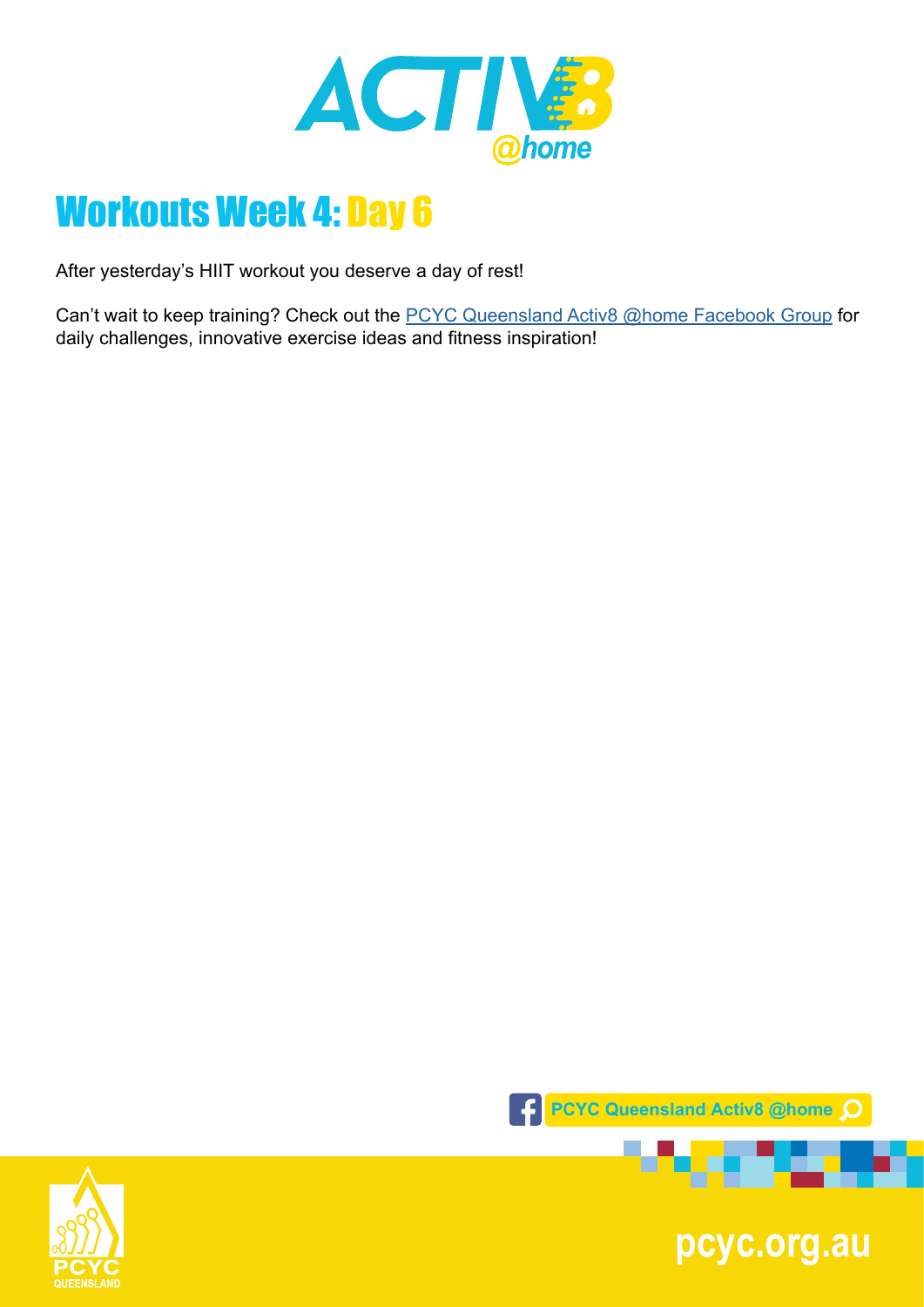

After yesterday's HIIT workout you deserve a day of rest!

Can't wait to keep training? Check out the **PCYC Queensland Activ8 @home Facebook Group** for daily challenges, innovative exercise ideas and fitness inspiration!